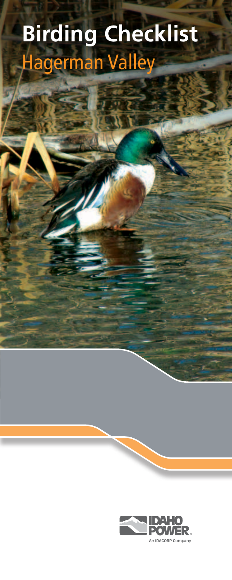# Hagerman Valley **Birding Checklist**

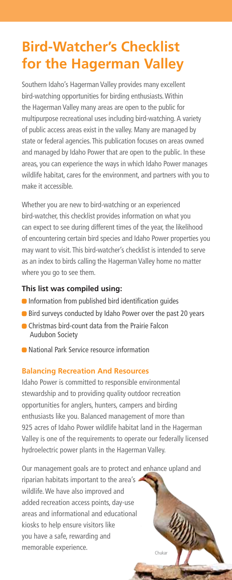### **Bird-Watcher's Checklist for the Hagerman Valley**

Southern Idaho's Hagerman Valley provides many excellent bird-watching opportunities for birding enthusiasts. Within the Hagerman Valley many areas are open to the public for multipurpose recreational uses including bird-watching. A variety of public access areas exist in the valley. Many are managed by state or federal agencies. This publication focuses on areas owned and managed by Idaho Power that are open to the public. In these areas, you can experience the ways in which Idaho Power manages wildlife habitat, cares for the environment, and partners with you to make it accessible.

Whether you are new to bird-watching or an experienced bird-watcher, this checklist provides information on what you can expect to see during different times of the year, the likelihood of encountering certain bird species and Idaho Power properties you may want to visit. This bird-watcher's checklist is intended to serve as an index to birds calling the Hagerman Valley home no matter where you go to see them.

#### **This list was compiled using:**

- **Information from published bird identification quides**
- Bird surveys conducted by Idaho Power over the past 20 years
- Christmas bird-count data from the Prairie Falcon Audubon Society
- National Park Service resource information

#### **Balancing Recreation And Resources**

Idaho Power is committed to responsible environmental stewardship and to providing quality outdoor recreation opportunities for anglers, hunters, campers and birding enthusiasts like you. Balanced management of more than 925 acres of Idaho Power wildlife habitat land in the Hagerman Valley is one of the requirements to operate our federally licensed hydroelectric power plants in the Hagerman Valley.

Our management goals are to protect and enhance upland and riparian habitats important to the area's wildlife. We have also improved and added recreation access points, day-use areas and informational and educational kiosks to help ensure visitors like you have a safe, rewarding and memorable experience.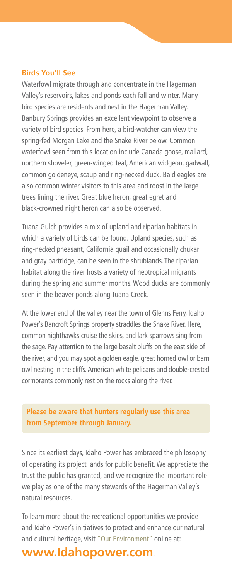#### **Birds You'll See**

Waterfowl migrate through and concentrate in the Hagerman Valley's reservoirs, lakes and ponds each fall and winter. Many bird species are residents and nest in the Hagerman Valley. Banbury Springs provides an excellent viewpoint to observe a variety of bird species. From here, a bird-watcher can view the spring-fed Morgan Lake and the Snake River below. Common waterfowl seen from this location include Canada goose, mallard, northern shoveler, green-winged teal, American widgeon, gadwall, common goldeneye, scaup and ring-necked duck. Bald eagles are also common winter visitors to this area and roost in the large trees lining the river. Great blue heron, great egret and black-crowned night heron can also be observed.

Tuana Gulch provides a mix of upland and riparian habitats in which a variety of birds can be found. Upland species, such as ring-necked pheasant, California quail and occasionally chukar and gray partridge, can be seen in the shrublands. The riparian habitat along the river hosts a variety of neotropical migrants during the spring and summer months. Wood ducks are commonly seen in the beaver ponds along Tuana Creek.

At the lower end of the valley near the town of Glenns Ferry, Idaho Power's Bancroft Springs property straddles the Snake River. Here, common nighthawks cruise the skies, and lark sparrows sing from the sage. Pay attention to the large basalt bluffs on the east side of the river, and you may spot a golden eagle, great horned owl or barn owl nesting in the cliffs. American white pelicans and double-crested cormorants commonly rest on the rocks along the river.

#### **Please be aware that hunters regularly use this area from September through January.**

Since its earliest days, Idaho Power has embraced the philosophy of operating its project lands for public benefit. We appreciate the trust the public has granted, and we recognize the important role we play as one of the many stewards of the Hagerman Valley's natural resources.

To learn more about the recreational opportunities we provide and Idaho Power's initiatives to protect and enhance our natural and cultural heritage, visit "Our Environment" online at:

### **www.Idahopower.com**.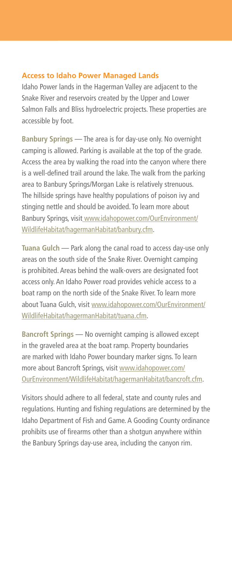#### **Access to Idaho Power Managed Lands**

Idaho Power lands in the Hagerman Valley are adjacent to the Snake River and reservoirs created by the Upper and Lower Salmon Falls and Bliss hydroelectric projects. These properties are accessible by foot.

**Banbury Springs** — The area is for day-use only. No overnight camping is allowed. Parking is available at the top of the grade. Access the area by walking the road into the canyon where there is a well-defined trail around the lake. The walk from the parking area to Banbury Springs/Morgan Lake is relatively strenuous. The hillside springs have healthy populations of poison ivy and stinging nettle and should be avoided. To learn more about Banbury Springs, visit www.idahopower.com/OurEnvironment/ WildlifeHabitat/hagermanHabitat/banbury.cfm.

**Tuana Gulch** — Park along the canal road to access day-use only areas on the south side of the Snake River. Overnight camping is prohibited. Areas behind the walk-overs are designated foot access only. An Idaho Power road provides vehicle access to a boat ramp on the north side of the Snake River. To learn more about Tuana Gulch, visit www.idahopower.com/OurEnvironment/ WildlifeHabitat/hagermanHabitat/tuana.cfm.

**Bancroft Springs** — No overnight camping is allowed except in the graveled area at the boat ramp. Property boundaries are marked with Idaho Power boundary marker signs. To learn more about Bancroft Springs, visit www.idahopower.com/ OurEnvironment/WildlifeHabitat/hagermanHabitat/bancroft.cfm.

Visitors should adhere to all federal, state and county rules and regulations. Hunting and fishing regulations are determined by the Idaho Department of Fish and Game. A Gooding County ordinance prohibits use of firearms other than a shotgun anywhere within the Banbury Springs day-use area, including the canyon rim.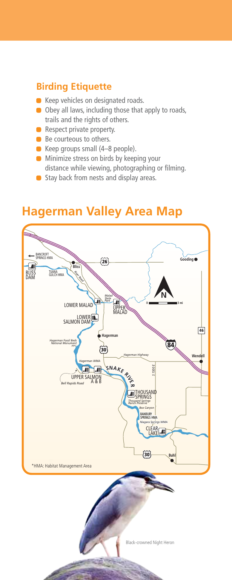#### **Birding Etiquette**

- Keep vehicles on designated roads.
- Obey all laws, including those that apply to roads, trails and the rights of others.
- Respect private property.
- Be courteous to others.
- Keep groups small (4–8 people).
- **Minimize stress on birds by keeping your** distance while viewing, photographing or filming.
- Stay back from nests and display areas.



### **Hagerman Valley Area Map**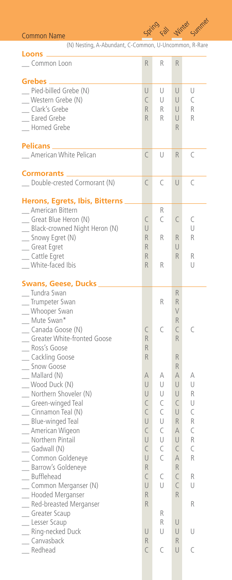#### Common Name



(N) Nesting, A-Abundant, C-Common, U-Uncommon, R-Rare

| Loons <sub>–</sub>                       |              |        |                |        |
|------------------------------------------|--------------|--------|----------------|--------|
| Common Loon                              | R.           | R      | R              |        |
| Grebes <sub>-</sub>                      |              |        |                |        |
| Pied-billed Grebe (N)                    | U            | U      | U              | U      |
| Western Grebe (N)                        | C            | U      | U              | C      |
| _ Clark's Grebe                          | R            | R      | U              | R      |
| Eared Grebe                              | R            | R      | U              | R      |
| <b>Horned Grebe</b>                      |              |        | R              |        |
| Pelicans <sub>____</sub>                 |              |        |                |        |
| American White Pelican                   | C            | U      | R              | C      |
| <b>Cormorants</b> _                      |              |        |                |        |
| _ Double-crested Cormorant (N)           | C            | C      | U              | C      |
| Herons, Egrets, Ibis, Bitterns _         |              |        |                |        |
| American Bittern                         |              | R      |                |        |
| Great Blue Heron (N)                     | C            | C      | C              | C      |
| _ Black-crowned Night Heron (N)          | U            |        |                | U      |
| __ Snowy Egret (N)                       | R<br>R       | R      | R<br>U         | R      |
| _ Great Egret<br>_ Cattle Egret          | R            |        | R              | R      |
| _ White-faced Ibis                       | R            | R      |                | U      |
|                                          |              |        |                |        |
| Swans, Geese, Ducks                      |              |        |                |        |
| Tundra Swan                              |              |        | R              |        |
| _ Trumpeter Swan                         |              | R      | R              |        |
| _ Whooper Swan                           |              |        | $\vee$         |        |
| Mute Swan*<br>_ Canada Goose (N)         | C            | C      | R<br>C         | C      |
| Greater White-fronted Goose              | R            |        | R              |        |
| Ross's Goose                             | R            |        |                |        |
| _ Cackling Goose                         | R            |        | R              |        |
| _ Snow Goose                             |              |        | R              |        |
| $\_$ Mallard (N)                         | A            | A      | A              | A      |
| Wood Duck (N)                            | U            | U      | U              | U      |
| _ Northern Shoveler (N)                  | U            | U      | U              | R      |
| _ Green-winged Teal                      | C            | C      | $\subset$      | U      |
| _ Cinnamon Teal (N)                      | C            | С      | $\cup$         | С      |
| _ Blue-winged Teal                       | U            | U      | R              | R      |
| _ American Wigeon                        | C            | C      | A              | C      |
| Northern Pintail                         | U            | U      | U              | R<br>C |
| $\Box$ Gadwall (N)<br>_ Common Goldeneye | C<br>U       | C<br>C | C<br>A         | R      |
| Barrow's Goldeneye                       | $\mathsf R$  |        | R              |        |
| _ Bufflehead                             | C            | C      | $\mathsf C$    | R      |
| _ Common Merganser (N)                   | U            | U      | $\overline{C}$ | U      |
| _ Hooded Merganser                       | $\mathsf R$  |        | R              |        |
| _ Red-breasted Merganser                 | R            |        |                | R      |
| _ Greater Scaup                          |              | R      |                |        |
| _ Lesser Scaup                           |              | R      | U              |        |
| _ Ring-necked Duck                       | U            | U      | U              | U      |
| Canvasback                               | R            |        | R              |        |
| Redhead                                  | $\mathsf{C}$ | C      | U              | C      |
|                                          |              |        |                |        |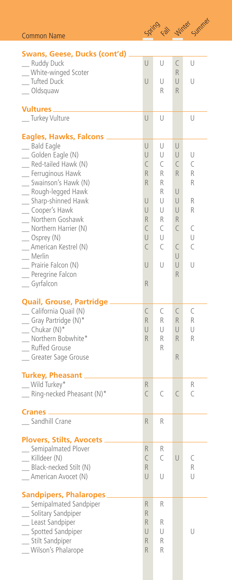

| <b>Swans, Geese, Ducks (cont'd)</b> |                |              |           |              |
|-------------------------------------|----------------|--------------|-----------|--------------|
| _ Ruddy Duck                        | U              | U            | C         | U            |
| White-winged Scoter                 |                |              | R         |              |
| <b>Tufted Duck</b>                  | U              | U            | U         | U            |
| _ Oldsquaw                          |                | R            | R         |              |
|                                     |                |              |           |              |
| <b>Vultures</b> <sub>-</sub>        |                |              |           |              |
| Turkey Vulture                      | U              | U            |           | U            |
|                                     |                |              |           |              |
| Eagles, Hawks, Falcons ____         |                |              |           |              |
| _ Bald Eagle                        | U              | U            | U         |              |
| _ Golden Eagle (N)                  | U              | U            | U         | U            |
| _ Red-tailed Hawk (N)               | C              | C            | C         | C            |
| _ Ferruginous Hawk                  | R              | R            | R         | R            |
| __ Swainson's Hawk (N)              | R              | R            |           | R            |
| _ Rough-legged Hawk                 |                | R            | U         |              |
| _ Sharp-shinned Hawk                | U              | U            | U         | R            |
| _ Cooper's Hawk                     | U              | U            | U         | R            |
| Northern Goshawk                    | R              | R            | R         |              |
| _ Northern Harrier (N)              | C              | C            | $\subset$ | C            |
| $\angle$ Osprey (N)                 | U              | U            |           | U            |
| American Kestrel (N)                | C              | C            | C         | C            |
| $\equiv$ Merlin                     |                |              | U         |              |
| _ Prairie Falcon (N)                | U              | U            | U         | U            |
| Peregrine Falcon                    |                |              | R         |              |
| __ Gyrfalcon                        | R              |              |           |              |
|                                     |                |              |           |              |
| <b>Quail, Grouse, Partridge</b>     |                |              |           |              |
| _ California Quail (N)              | $\mathsf C$    | C            | C         | C            |
| $\equiv$ Gray Partridge (N)*        | R              | R            | R         | R            |
| $\Box$ Chukar (N)*                  | U              | U            | U         | U            |
| Northern Bobwhite*                  | R              | R            | R         | R            |
| _ Ruffed Grouse                     |                | R            |           |              |
| _ Greater Sage Grouse               |                |              | R         |              |
|                                     |                |              |           |              |
| Turkey, Pheasant _                  |                |              |           |              |
| Wild Turkey*                        | R              |              |           | R            |
| Ring-necked Pheasant (N)*           | $\overline{C}$ | $\mathsf{C}$ | $\subset$ | $\mathsf{C}$ |
|                                     |                |              |           |              |
| <b>Cranes</b>                       |                |              |           |              |
| Sandhill Crane                      | R              | R            |           |              |
|                                     |                |              |           |              |
| <b>Plovers, Stilts, Avocets.</b>    |                |              |           |              |
| _ Semipalmated Plover               | R              | R            |           |              |
| _ Killdeer (N)                      | C              | C            | U         | C            |
| Black-necked Stilt (N)              | R              |              |           | R            |
| _ American Avocet (N)               | U              | U            |           | U            |
|                                     |                |              |           |              |
| <b>Sandpipers, Phalaropes.</b>      |                |              |           |              |
| _ Semipalmated Sandpiper            | R              | R            |           |              |
| _ Solitary Sandpiper                | R              |              |           |              |
| _ Least Sandpiper                   | R              | R            |           |              |
| _ Spotted Sandpiper                 | U              | U            |           | U            |
| _ Stilt Sandpiper                   | R              | R            |           |              |
| Wilson's Phalarope                  | R              | R            |           |              |
|                                     |                |              |           |              |
|                                     |                |              |           |              |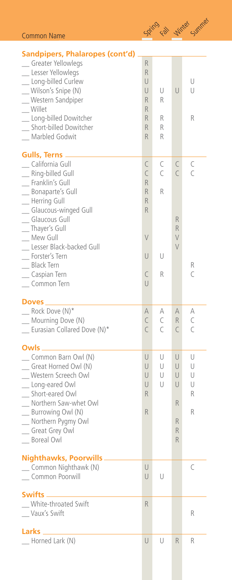

| <b>Sandpipers, Phalaropes (cont'd)</b> |              |   |             |           |
|----------------------------------------|--------------|---|-------------|-----------|
| _ Greater Yellowlegs                   | R            |   |             |           |
| _ Lesser Yellowlegs                    | R            |   |             |           |
| _ Long-billed Curlew                   | U            |   |             | U         |
| Wilson's Snipe (N)                     | U            | U | U           | U         |
| <b>Western Sandpiper</b>               | R            | R |             |           |
| _ Willet                               | R            |   |             |           |
| _ Long-billed Dowitcher                | R            | R |             | R         |
| Short-billed Dowitcher                 | R            | R |             |           |
| Marbled Godwit                         | R            | R |             |           |
|                                        |              |   |             |           |
| <b>Gulls, Terns</b>                    |              |   |             |           |
| California Gull                        | C            | C | C           | С         |
| _ Ring-billed Gull                     | C            | C | C           | $\subset$ |
| _ Franklin's Gull                      | R            |   |             |           |
| _ Bonaparte's Gull                     | R            | R |             |           |
| _ Herring Gull                         | R            |   |             |           |
| _ Glaucous-winged Gull                 | $\mathsf{R}$ |   |             |           |
| _ Glaucous Gull                        |              |   | R           |           |
| _ Thayer's Gull                        |              |   | $\mathsf R$ |           |
| _ Mew Gull                             | $\vee$       |   | $\vee$      |           |
| Lesser Black-backed Gull               |              |   | $\vee$      |           |
| _ Forster's Tern                       | $\cup$       | U |             |           |
| _ Black Tern                           |              |   |             | R         |
| _ Caspian Tern                         | C            | R |             | C         |
| _ Common Tern                          | U            |   |             |           |
|                                        |              |   |             |           |
| Doves_                                 |              |   |             |           |
| $\sum$ Rock Dove (N)*                  | A            | A | A           | A         |
| _ Mourning Dove (N)                    | $\subset$    | C | R           | C         |
| _ Eurasian Collared Dove (N)*          | C            | C | C           | C         |
|                                        |              |   |             |           |
| Owls-                                  |              |   |             |           |
| _ Common Barn Owl (N)                  | U            | U | U           | U         |
| _ Great Horned Owl (N)                 | U            | U | U           | U         |
| Western Screech Owl                    | U            | U | U           | U         |
| _ Long-eared Owl                       | U            | U | U           | U         |
| Short-eared Owl                        | R            |   |             | R         |
| Northern Saw-whet Owl                  |              |   | R           |           |
| _ Burrowing Owl (N)                    | R            |   |             | R         |
| _ Northern Pygmy Owl                   |              |   | R           |           |
| _ Great Grey Owl                       |              |   | R           |           |
| Boreal Owl                             |              |   | R           |           |
| <b>Nighthawks, Poorwills</b>           |              |   |             |           |
| __ Common Nighthawk (N)                | U            |   |             | C         |
| Common Poorwill                        | U            | U |             |           |
|                                        |              |   |             |           |
| Swifts _______                         |              |   |             |           |
| White-throated Swift                   | R            |   |             |           |
| Vaux's Swift                           |              |   |             | R         |
|                                        |              |   |             |           |
| Larks _                                |              |   |             |           |
| __ Horned Lark (N)                     | U            | U | R           | R         |
|                                        |              |   |             |           |
|                                        |              |   |             |           |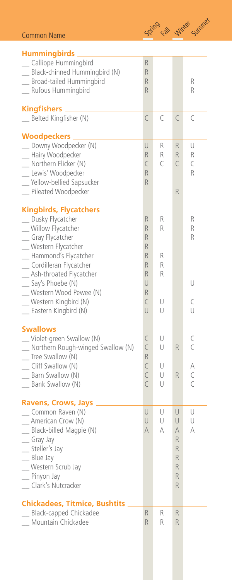#### Common Name



| <b>Hummingbirds</b>                              |                |   |           |              |
|--------------------------------------------------|----------------|---|-----------|--------------|
| _ Calliope Hummingbird                           | R              |   |           |              |
| __ Black-chinned Hummingbird (N)                 | R              |   |           |              |
| _ Broad-tailed Hummingbird                       | R              |   |           | R            |
| _ Rufous Hummingbird                             | $\mathsf R$    |   |           | R            |
|                                                  |                |   |           |              |
| <b>Kingfishers</b>                               |                |   |           |              |
| _ Belted Kingfisher (N)                          | C              | C | C         | C            |
|                                                  |                |   |           |              |
| <b>Woodpeckers</b>                               |                |   |           |              |
| _ Downy Woodpecker (N)                           | U              | R | R         | U            |
| _ Hairy Woodpecker                               | R              | R | R         | R            |
| _ Northern Flicker (N)                           | $\mathsf C$    | C | C         | C            |
| _ Lewis' Woodpecker                              | $\mathsf R$    |   |           | R            |
| _ Yellow-bellied Sapsucker                       | $\mathsf R$    |   |           |              |
| _ Pileated Woodpecker                            |                |   | R         |              |
| <b>Kingbirds, Flycatchers</b>                    |                |   |           |              |
| _ Dusky Flycatcher                               | R              | R |           | R            |
| Willow Flycatcher                                | R              | R |           | R            |
| _ Gray Flycatcher                                | $\mathsf R$    |   |           | R            |
| _ Western Flycatcher                             | R              |   |           |              |
| _ Hammond's Flycatcher                           | R              | R |           |              |
| _ Cordilleran Flycatcher                         | R              | R |           |              |
| _ Ash-throated Flycatcher                        | $\mathsf R$    | R |           |              |
| __ Say's Phoebe (N)                              | U              |   |           | U            |
| _ Western Wood Pewee (N)                         | $\mathsf R$    |   |           |              |
| _ Western Kingbird (N)                           | $\mathsf{C}$   | U |           | C            |
| _ Eastern Kingbird (N)                           | U              | U |           | U            |
|                                                  |                |   |           |              |
| Swallows ____                                    |                |   |           |              |
| _ Violet-green Swallow (N)                       | C              | U |           | С            |
| __ Northern Rough-winged Swallow (N)             | $\subset$      | U | R         | $\mathsf{C}$ |
| _ Tree Swallow (N)                               | $\mathsf R$    |   |           |              |
| $\angle$ Cliff Swallow (N)                       | $\overline{C}$ | U |           | A            |
| _ Barn Swallow (N)                               | $\overline{C}$ | U | R         | C            |
| _ Bank Swallow (N)                               | $\overline{C}$ | U |           | C            |
|                                                  |                |   |           |              |
| <b>Ravens, Crows, Jays</b><br>_ Common Raven (N) | $\bigcup$      | U | $\bigcup$ | U            |
| _ American Crow (N)                              | U              | U | U         | U            |
| _ Black-billed Magpie (N)                        | A              | A | A         | A            |
| _ Gray Jay                                       |                |   | R         |              |
| __ Steller's Jay                                 |                |   | R         |              |
| Blue Jay                                         |                |   | R         |              |
| Western Scrub Jay                                |                |   | R         |              |
| Pinyon Jay                                       |                |   | R         |              |
| Clark's Nutcracker                               |                |   | R         |              |
|                                                  |                |   |           |              |
| <b>Chickadees, Titmice, Bushtits</b>             |                |   |           |              |
| _ Black-capped Chickadee                         | $\mathsf R$    | R | R         |              |
| Mountain Chickadee                               | R              | R | R         |              |
|                                                  |                |   |           |              |
|                                                  |                |   |           |              |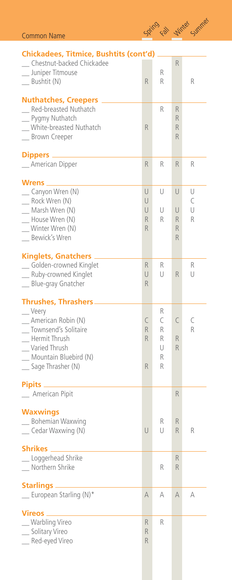

| Common Name |  |
|-------------|--|
|             |  |

| <b>Chickadees, Titmice, Bushtits (cont'd)</b> |   |   |    |   |  |
|-----------------------------------------------|---|---|----|---|--|
| Chestnut-backed Chickadee                     |   |   | R  |   |  |
| _ Juniper Titmouse                            |   | R |    |   |  |
| $\angle$ Bushtit (N)                          | R | R |    | R |  |
|                                               |   |   |    |   |  |
| <b>Nuthatches, Creepers</b>                   |   |   |    |   |  |
| Red-breasted Nuthatch                         |   | R | R  |   |  |
| _ Pygmy Nuthatch                              |   |   | R  |   |  |
| White-breasted Nuthatch                       | R |   | R  |   |  |
| _ Brown Creeper                               |   |   | R  |   |  |
|                                               |   |   |    |   |  |
| Dippers _____                                 |   |   |    |   |  |
| _ American Dipper                             | R | R | R. | R |  |
|                                               |   |   |    |   |  |
| Wrens $\rule{1em}{0.15mm}$                    |   |   |    |   |  |
| _ Canyon Wren (N)                             | U | U | U  | U |  |
| __ Rock Wren (N)                              | U |   |    | C |  |
| _ Marsh Wren (N)                              | U | U | U  | U |  |
| _ House Wren (N)                              | R | R | R  | R |  |
| _ Winter Wren (N)                             | R |   | R  |   |  |
| _ Bewick's Wren                               |   |   | R  |   |  |
|                                               |   |   |    |   |  |
| <b>Kinglets, Gnatchers .</b>                  |   |   |    |   |  |
| _ Golden-crowned Kinglet                      | R | R |    | R |  |
| _ Ruby-crowned Kinglet                        | U | U | R  | U |  |
| _ Blue-gray Gnatcher                          | R |   |    |   |  |
|                                               |   |   |    |   |  |
| <b>Thrushes, Thrashers.</b>                   |   |   |    |   |  |
| _ Veery                                       |   | R |    |   |  |
|                                               |   | C |    |   |  |
| _ American Robin (N)                          | C |   | C  | C |  |
| _ Townsend's Solitaire                        | R | R |    | R |  |
| _ Hermit Thrush                               | R | R | R  |   |  |
| Varied Thrush                                 |   | U | R  |   |  |
| _ Mountain Bluebird (N)                       |   | R |    |   |  |
| __ Sage Thrasher (N)                          | R | R |    |   |  |
|                                               |   |   |    |   |  |
| Pipits _                                      |   |   |    |   |  |
| _ American Pipit                              |   |   | R  |   |  |
|                                               |   |   |    |   |  |
| <b>Waxwings</b>                               |   |   |    |   |  |
| _ Bohemian Waxwing                            |   | R | R  |   |  |
| __ Cedar Waxwing (N)                          | U | U | R  | R |  |
|                                               |   |   |    |   |  |
| <b>Shrikes</b>                                |   |   |    |   |  |
| _ Loggerhead Shrike                           |   |   | R  |   |  |
| Northern Shrike                               |   | R | R  |   |  |
|                                               |   |   |    |   |  |
| <b>Starlings</b> ______                       |   |   |    |   |  |
| _ European Starling (N)*                      | A | A | A  | А |  |
|                                               |   |   |    |   |  |
| Vireos                                        |   |   |    |   |  |
| Warbling Vireo                                | R | R |    |   |  |
| Solitary Vireo                                | R |   |    |   |  |
| Red-eyed Vireo                                | R |   |    |   |  |
|                                               |   |   |    |   |  |
|                                               |   |   |    |   |  |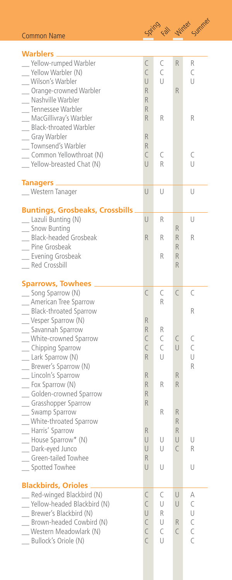

| <b>Warblers</b> <sub>-</sub>                    |                  |              |        |                |
|-------------------------------------------------|------------------|--------------|--------|----------------|
| _Yellow-rumped Warbler                          | C                | С            | R      | R              |
| Yellow Warbler (N)                              | $\overline{C}$   | C            |        | C              |
| Wilson's Warbler                                | U                | U            |        | U              |
| _ Orange-crowned Warbler                        | R                |              | R      |                |
| Nashville Warbler                               | R                |              |        |                |
| Tennessee Warbler                               | R                |              |        |                |
| _ MacGillivray's Warbler                        | R                | R            |        | R              |
| Black-throated Warbler                          |                  |              |        |                |
| _ Gray Warbler                                  | R                |              |        |                |
| _ Townsend's Warbler                            | R                |              |        |                |
| _ Common Yellowthroat (N)                       | $\overline{C}$   | C            |        | C              |
| Yellow-breasted Chat (N)                        | U                | R            |        | U              |
| Tanagers _____                                  |                  |              |        |                |
| <b>Western Tanager</b>                          | U                | U            |        | U              |
|                                                 |                  |              |        |                |
| <b>Buntings, Grosbeaks, Crossbills.</b>         | U                | R            |        | U              |
| _ Lazuli Bunting (N)<br>_ Snow Bunting          |                  |              | R      |                |
| Black-headed Grosbeak                           | R                | R            | R      | R              |
| Pine Grosbeak                                   |                  |              | R      |                |
| _ Evening Grosbeak                              |                  | R            | R      |                |
| Red Crossbill                                   |                  |              | R      |                |
|                                                 |                  |              |        |                |
| <b>Sparrows, Towhees</b>                        |                  |              |        |                |
| __ Song Sparrow (N)                             | C                | C            | C      | C              |
| _ American Tree Sparrow                         |                  | R            |        |                |
| _ Black-throated Sparrow                        |                  |              |        | R              |
| _ Vesper Sparrow (N)                            | R                |              |        |                |
| _ Savannah Sparrow                              | R                | R            |        |                |
| _ White-crowned Sparrow                         | $\overline{C}$   | C            | C      | C              |
| _ Chipping Sparrow                              | $\overline{C}$   | $\mathsf{C}$ | U      | $\overline{C}$ |
| _ Lark Sparrow (N)                              | R                | U            |        | U              |
| __ Brewer's Sparrow (N)                         |                  |              |        | R              |
| _ Lincoln's Sparrow                             | R                |              | R      |                |
| _ Fox Sparrow (N)                               | R                | R            | R      |                |
| _ Golden-crowned Sparrow                        | R                |              |        |                |
| _ Grasshopper Sparrow                           | R                |              |        |                |
| Swamp Sparrow                                   |                  | R            | R      |                |
| White-throated Sparrow                          |                  |              | R      |                |
| Harris' Sparrow                                 | $\mathsf R$<br>U |              | R<br>U |                |
| _ House Sparrow* (N)                            | U                | U<br>U       | C      | U<br>R         |
| _ Dark-eyed Junco<br><b>Green-tailed Towhee</b> | $\mathsf R$      |              |        |                |
| Spotted Towhee                                  | U                | U            |        | U              |
|                                                 |                  |              |        |                |
| <b>Blackbirds, Orioles</b>                      |                  |              |        |                |
| Red-winged Blackbird (N)                        | C                | С            | U      | A              |
| Yellow-headed Blackbird (N)                     | $\mathsf C$      | U            | U      | C              |
| _ Brewer's Blackbird (N)                        | U                | R            |        | U              |
| Brown-headed Cowbird (N)                        | $\overline{C}$   | U            | R      | $\mathsf{C}$   |
| Western Meadowlark (N)                          | $\overline{C}$   | $\mathsf{C}$ | C      | $\mathsf{C}$   |
| Bullock's Oriole (N)                            | C                | U            |        | $\overline{C}$ |
|                                                 |                  |              |        |                |